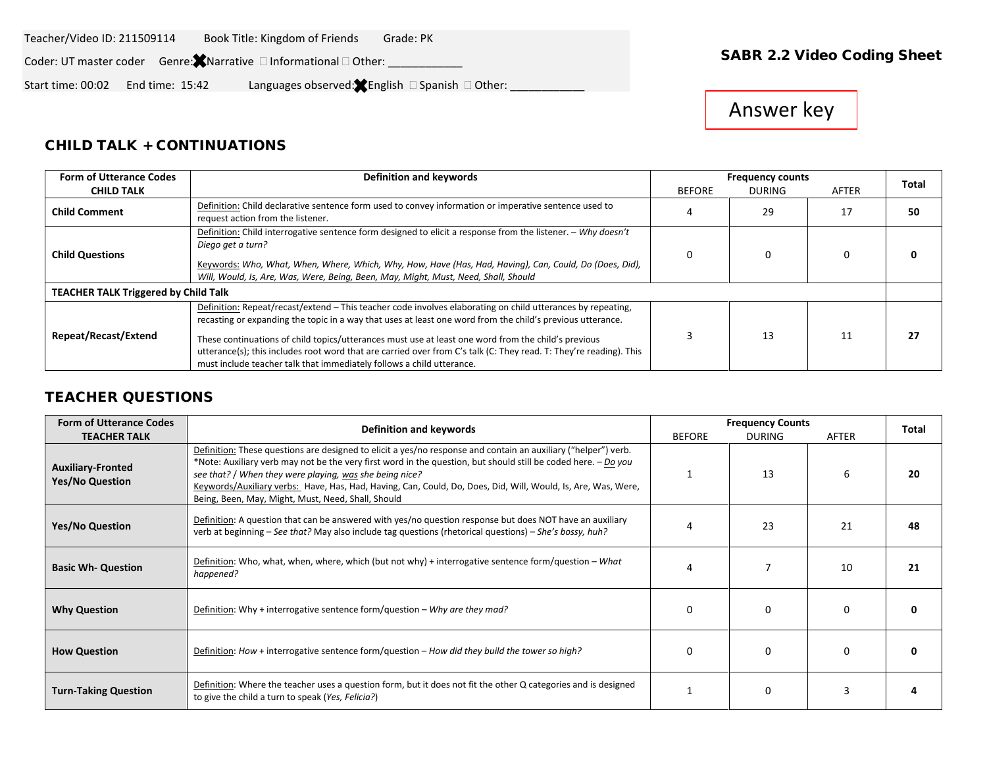#### Teacher/Video ID: 211509114 Book Title: Kingdom of Friends Grade: PK

Video ID: \_\_\_\_\_\_\_\_\_\_\_\_\_\_\_\_\_\_\_\_\_\_ SABR 2.2 Video Coding Sheet Coder: UT master coder Genre: Narrative Informational Other: \_\_\_\_\_\_\_\_\_\_\_\_

Start time: 00:02 End time: 15:42 Languages observed: English  $\Box$  Spanish  $\Box$  Other:

# Answer key

### CHILD TALK + CONTINUATIONS

| <b>Form of Utterance Codes</b>              | Definition and keywords                                                                                                                                                                                                                                                                                                                                                                                                                                                                                                         |          | <b>Frequency counts</b> |    |       |  |
|---------------------------------------------|---------------------------------------------------------------------------------------------------------------------------------------------------------------------------------------------------------------------------------------------------------------------------------------------------------------------------------------------------------------------------------------------------------------------------------------------------------------------------------------------------------------------------------|----------|-------------------------|----|-------|--|
| <b>CHILD TALK</b>                           |                                                                                                                                                                                                                                                                                                                                                                                                                                                                                                                                 |          |                         |    | Total |  |
| <b>Child Comment</b>                        | Definition: Child declarative sentence form used to convey information or imperative sentence used to<br>request action from the listener.                                                                                                                                                                                                                                                                                                                                                                                      |          | 29                      | 17 | 50    |  |
| <b>Child Questions</b>                      | Definition: Child interrogative sentence form designed to elicit a response from the listener. - Why doesn't<br>Diego get a turn?<br>Keywords: Who, What, When, Where, Which, Why, How, Have (Has, Had, Having), Can, Could, Do (Does, Did),<br>Will, Would, Is, Are, Was, Were, Being, Been, May, Might, Must, Need, Shall, Should                                                                                                                                                                                             | $\Omega$ |                         |    |       |  |
| <b>TEACHER TALK Triggered by Child Talk</b> |                                                                                                                                                                                                                                                                                                                                                                                                                                                                                                                                 |          |                         |    |       |  |
| Repeat/Recast/Extend                        | Definition: Repeat/recast/extend - This teacher code involves elaborating on child utterances by repeating,<br>recasting or expanding the topic in a way that uses at least one word from the child's previous utterance.<br>These continuations of child topics/utterances must use at least one word from the child's previous<br>utterance(s); this includes root word that are carried over from C's talk (C: They read. T: They're reading). This<br>must include teacher talk that immediately follows a child utterance. |          | 13                      | 11 | 27    |  |

### TEACHER QUESTIONS

| <b>Form of Utterance Codes</b>                     | Definition and keywords                                                                                                                                                                                                                                                                                                                                                                                                                                            |               | <b>Frequency Counts</b> |              |              |  |
|----------------------------------------------------|--------------------------------------------------------------------------------------------------------------------------------------------------------------------------------------------------------------------------------------------------------------------------------------------------------------------------------------------------------------------------------------------------------------------------------------------------------------------|---------------|-------------------------|--------------|--------------|--|
| <b>TEACHER TALK</b>                                |                                                                                                                                                                                                                                                                                                                                                                                                                                                                    | <b>BEFORE</b> | <b>DURING</b>           | AFTER        | <b>Total</b> |  |
| <b>Auxiliary-Fronted</b><br><b>Yes/No Question</b> | Definition: These questions are designed to elicit a yes/no response and contain an auxiliary ("helper") verb.<br>*Note: Auxiliary verb may not be the very first word in the question, but should still be coded here. - Do you<br>see that? / When they were playing, was she being nice?<br>Keywords/Auxiliary verbs: Have, Has, Had, Having, Can, Could, Do, Does, Did, Will, Would, Is, Are, Was, Were,<br>Being, Been, May, Might, Must, Need, Shall, Should |               | 13                      | 6            | 20           |  |
| <b>Yes/No Question</b>                             | Definition: A question that can be answered with yes/no question response but does NOT have an auxiliary<br>verb at beginning – See that? May also include tag questions (rhetorical questions) – She's bossy, huh?                                                                                                                                                                                                                                                |               | 23                      | 21           | 48           |  |
| <b>Basic Wh- Question</b>                          | Definition: Who, what, when, where, which (but not why) + interrogative sentence form/question – What<br>happened?                                                                                                                                                                                                                                                                                                                                                 |               |                         | 10           | 21           |  |
| <b>Why Question</b>                                | Definition: Why + interrogative sentence form/question – Why are they mad?                                                                                                                                                                                                                                                                                                                                                                                         | O             |                         | O            |              |  |
| <b>How Question</b>                                | Definition: How + interrogative sentence form/question – How did they build the tower so high?                                                                                                                                                                                                                                                                                                                                                                     | n             | n                       | <sup>0</sup> |              |  |
| <b>Turn-Taking Question</b>                        | Definition: Where the teacher uses a question form, but it does not fit the other Q categories and is designed<br>to give the child a turn to speak (Yes, Felicia?)                                                                                                                                                                                                                                                                                                |               | $\Omega$                |              |              |  |